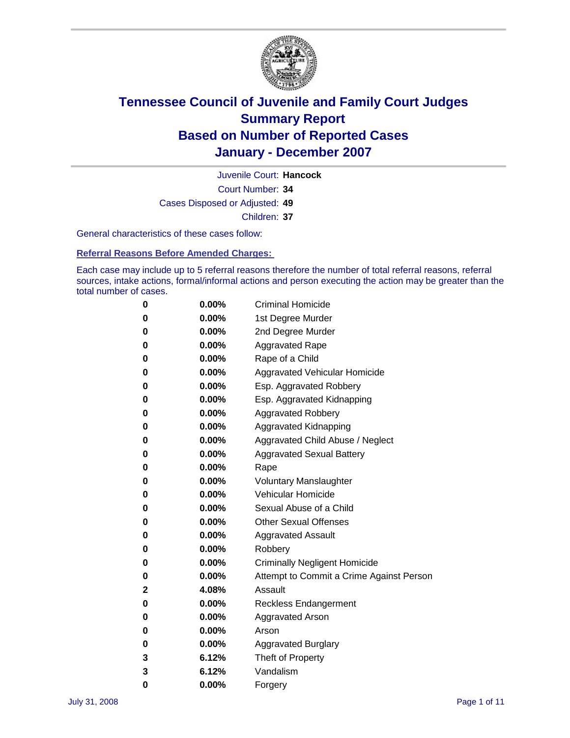

Court Number: **34** Juvenile Court: **Hancock** Cases Disposed or Adjusted: **49** Children: **37**

General characteristics of these cases follow:

**Referral Reasons Before Amended Charges:** 

Each case may include up to 5 referral reasons therefore the number of total referral reasons, referral sources, intake actions, formal/informal actions and person executing the action may be greater than the total number of cases.

| 0 | $0.00\%$ | <b>Criminal Homicide</b>                 |  |  |  |  |
|---|----------|------------------------------------------|--|--|--|--|
| 0 | 0.00%    | 1st Degree Murder                        |  |  |  |  |
| 0 | $0.00\%$ | 2nd Degree Murder                        |  |  |  |  |
| 0 | $0.00\%$ | <b>Aggravated Rape</b>                   |  |  |  |  |
| 0 | 0.00%    | Rape of a Child                          |  |  |  |  |
| 0 | $0.00\%$ | Aggravated Vehicular Homicide            |  |  |  |  |
| 0 | $0.00\%$ | Esp. Aggravated Robbery                  |  |  |  |  |
| 0 | $0.00\%$ | Esp. Aggravated Kidnapping               |  |  |  |  |
| 0 | 0.00%    | <b>Aggravated Robbery</b>                |  |  |  |  |
| 0 | 0.00%    | Aggravated Kidnapping                    |  |  |  |  |
| 0 | $0.00\%$ | Aggravated Child Abuse / Neglect         |  |  |  |  |
| 0 | 0.00%    | <b>Aggravated Sexual Battery</b>         |  |  |  |  |
| 0 | $0.00\%$ | Rape                                     |  |  |  |  |
| 0 | $0.00\%$ | <b>Voluntary Manslaughter</b>            |  |  |  |  |
| 0 | 0.00%    | Vehicular Homicide                       |  |  |  |  |
| 0 | $0.00\%$ | Sexual Abuse of a Child                  |  |  |  |  |
| 0 | $0.00\%$ | <b>Other Sexual Offenses</b>             |  |  |  |  |
| 0 | $0.00\%$ | <b>Aggravated Assault</b>                |  |  |  |  |
| 0 | 0.00%    | Robbery                                  |  |  |  |  |
| 0 | $0.00\%$ | <b>Criminally Negligent Homicide</b>     |  |  |  |  |
| 0 | $0.00\%$ | Attempt to Commit a Crime Against Person |  |  |  |  |
| 2 | 4.08%    | Assault                                  |  |  |  |  |
| 0 | $0.00\%$ | <b>Reckless Endangerment</b>             |  |  |  |  |
| 0 | $0.00\%$ | Aggravated Arson                         |  |  |  |  |
| 0 | $0.00\%$ | Arson                                    |  |  |  |  |
| 0 | $0.00\%$ | <b>Aggravated Burglary</b>               |  |  |  |  |
| 3 | 6.12%    | Theft of Property                        |  |  |  |  |
| 3 | 6.12%    | Vandalism                                |  |  |  |  |
| 0 | 0.00%    | Forgery                                  |  |  |  |  |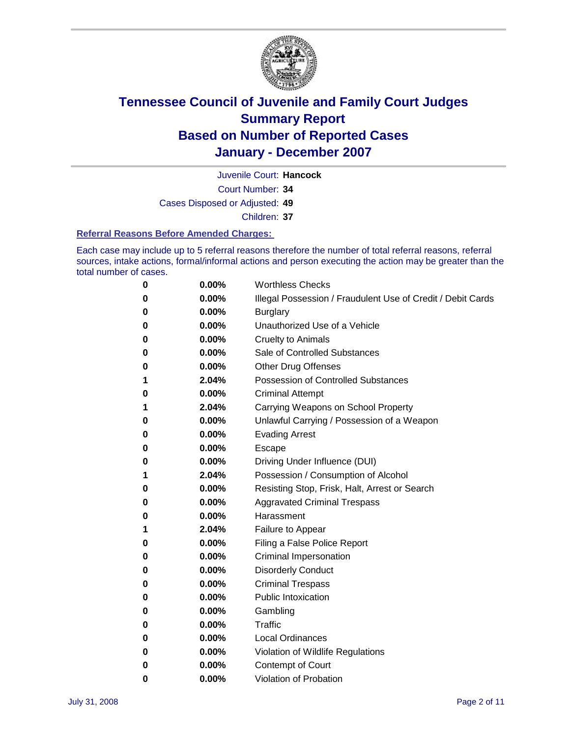

Court Number: **34** Juvenile Court: **Hancock**

Cases Disposed or Adjusted: **49**

Children: **37**

### **Referral Reasons Before Amended Charges:**

Each case may include up to 5 referral reasons therefore the number of total referral reasons, referral sources, intake actions, formal/informal actions and person executing the action may be greater than the total number of cases.

| 0 | 0.00% | <b>Worthless Checks</b>                                     |  |
|---|-------|-------------------------------------------------------------|--|
| 0 | 0.00% | Illegal Possession / Fraudulent Use of Credit / Debit Cards |  |
| 0 | 0.00% | <b>Burglary</b>                                             |  |
| 0 | 0.00% | Unauthorized Use of a Vehicle                               |  |
| 0 | 0.00% | <b>Cruelty to Animals</b>                                   |  |
| 0 | 0.00% | Sale of Controlled Substances                               |  |
| 0 | 0.00% | <b>Other Drug Offenses</b>                                  |  |
| 1 | 2.04% | <b>Possession of Controlled Substances</b>                  |  |
| 0 | 0.00% | <b>Criminal Attempt</b>                                     |  |
| 1 | 2.04% | Carrying Weapons on School Property                         |  |
| 0 | 0.00% | Unlawful Carrying / Possession of a Weapon                  |  |
| 0 | 0.00% | <b>Evading Arrest</b>                                       |  |
| 0 | 0.00% | Escape                                                      |  |
| 0 | 0.00% | Driving Under Influence (DUI)                               |  |
| 1 | 2.04% | Possession / Consumption of Alcohol                         |  |
| 0 | 0.00% | Resisting Stop, Frisk, Halt, Arrest or Search               |  |
| 0 | 0.00% | <b>Aggravated Criminal Trespass</b>                         |  |
| 0 | 0.00% | Harassment                                                  |  |
| 1 | 2.04% | Failure to Appear                                           |  |
| 0 | 0.00% | Filing a False Police Report                                |  |
| 0 | 0.00% | Criminal Impersonation                                      |  |
| 0 | 0.00% | <b>Disorderly Conduct</b>                                   |  |
| 0 | 0.00% | <b>Criminal Trespass</b>                                    |  |
| 0 | 0.00% | <b>Public Intoxication</b>                                  |  |
| 0 | 0.00% | Gambling                                                    |  |
| 0 | 0.00% | Traffic                                                     |  |
| 0 | 0.00% | Local Ordinances                                            |  |
| 0 | 0.00% | Violation of Wildlife Regulations                           |  |
| 0 | 0.00% | Contempt of Court                                           |  |
| 0 | 0.00% | Violation of Probation                                      |  |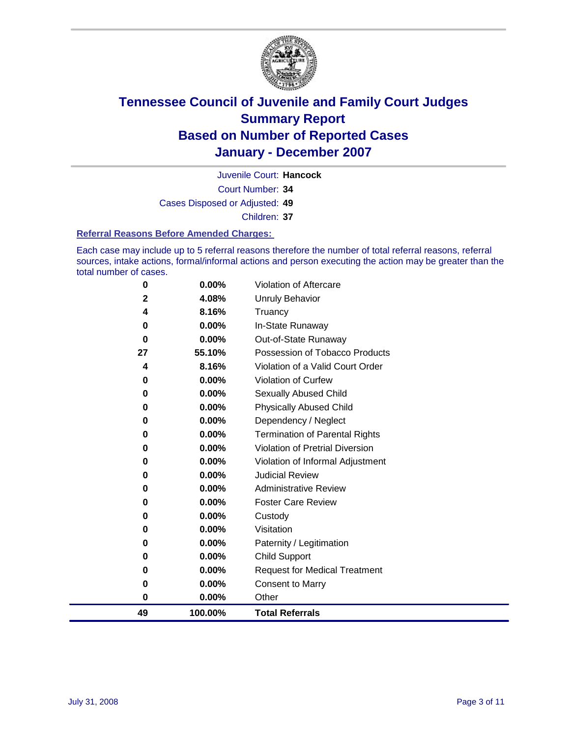

Court Number: **34** Juvenile Court: **Hancock** Cases Disposed or Adjusted: **49** Children: **37**

#### **Referral Reasons Before Amended Charges:**

Each case may include up to 5 referral reasons therefore the number of total referral reasons, referral sources, intake actions, formal/informal actions and person executing the action may be greater than the total number of cases.

| 49          | 100.00% | <b>Total Referrals</b>                 |
|-------------|---------|----------------------------------------|
| 0           | 0.00%   | Other                                  |
| 0           | 0.00%   | <b>Consent to Marry</b>                |
| 0           | 0.00%   | <b>Request for Medical Treatment</b>   |
| 0           | 0.00%   | <b>Child Support</b>                   |
| 0           | 0.00%   | Paternity / Legitimation               |
| 0           | 0.00%   | Visitation                             |
| 0           | 0.00%   | Custody                                |
| 0           | 0.00%   | <b>Foster Care Review</b>              |
| 0           | 0.00%   | <b>Administrative Review</b>           |
| 0           | 0.00%   | <b>Judicial Review</b>                 |
| 0           | 0.00%   | Violation of Informal Adjustment       |
| 0           | 0.00%   | <b>Violation of Pretrial Diversion</b> |
| 0           | 0.00%   | <b>Termination of Parental Rights</b>  |
| 0           | 0.00%   | Dependency / Neglect                   |
| 0           | 0.00%   | <b>Physically Abused Child</b>         |
| 0           | 0.00%   | <b>Sexually Abused Child</b>           |
| 0           | 0.00%   | Violation of Curfew                    |
| 4           | 8.16%   | Violation of a Valid Court Order       |
| 27          | 55.10%  | Possession of Tobacco Products         |
| 0           | 0.00%   | Out-of-State Runaway                   |
| $\bf{0}$    | 0.00%   | In-State Runaway                       |
| 4           | 8.16%   | Truancy                                |
| $\mathbf 2$ | 4.08%   | Unruly Behavior                        |
| 0           | 0.00%   | Violation of Aftercare                 |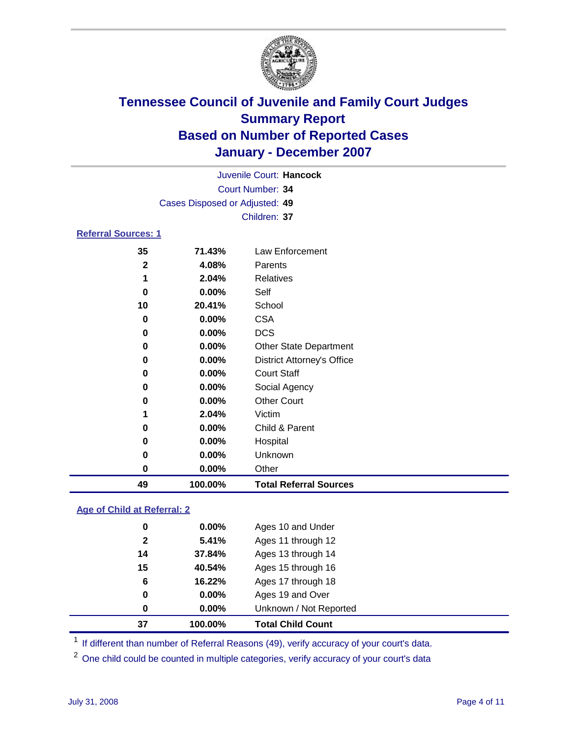

|                            | Juvenile Court: Hancock        |                 |  |  |
|----------------------------|--------------------------------|-----------------|--|--|
|                            | Court Number: 34               |                 |  |  |
|                            | Cases Disposed or Adjusted: 49 |                 |  |  |
|                            |                                | Children: 37    |  |  |
| <b>Referral Sources: 1</b> |                                |                 |  |  |
| 35                         | 71.43%                         | Law Enforcement |  |  |
| $\mathbf{2}$               | 4.08%                          | Parents         |  |  |
| 1                          | 2.04%                          | Relatives       |  |  |
| 0                          | $0.00\%$                       | Self            |  |  |
| 10                         | 20.41%                         | School          |  |  |

| 49 | 100.00%  | <b>Total Referral Sources</b>     |  |
|----|----------|-----------------------------------|--|
| 0  | 0.00%    | Other                             |  |
| 0  | 0.00%    | Unknown                           |  |
| 0  | 0.00%    | Hospital                          |  |
| 0  | $0.00\%$ | Child & Parent                    |  |
| 1  | 2.04%    | Victim                            |  |
| 0  | 0.00%    | <b>Other Court</b>                |  |
| 0  | 0.00%    | Social Agency                     |  |
| 0  | $0.00\%$ | <b>Court Staff</b>                |  |
| 0  | 0.00%    | <b>District Attorney's Office</b> |  |
| 0  | 0.00%    | <b>Other State Department</b>     |  |
| 0  | $0.00\%$ | <b>DCS</b>                        |  |
| 0  | 0.00%    | <b>CSA</b>                        |  |

### **Age of Child at Referral: 2**

| 37<br>100.00%         | <b>Total Child Count</b> |
|-----------------------|--------------------------|
| $0.00\%$<br>0         | Unknown / Not Reported   |
| $0.00\%$<br>0         | Ages 19 and Over         |
| 16.22%<br>6           | Ages 17 through 18       |
| 15<br>40.54%          | Ages 15 through 16       |
| 14<br>37.84%          | Ages 13 through 14       |
| 5.41%<br>$\mathbf{2}$ | Ages 11 through 12       |
| 0.00%<br>0            | Ages 10 and Under        |
|                       |                          |

<sup>1</sup> If different than number of Referral Reasons (49), verify accuracy of your court's data.

One child could be counted in multiple categories, verify accuracy of your court's data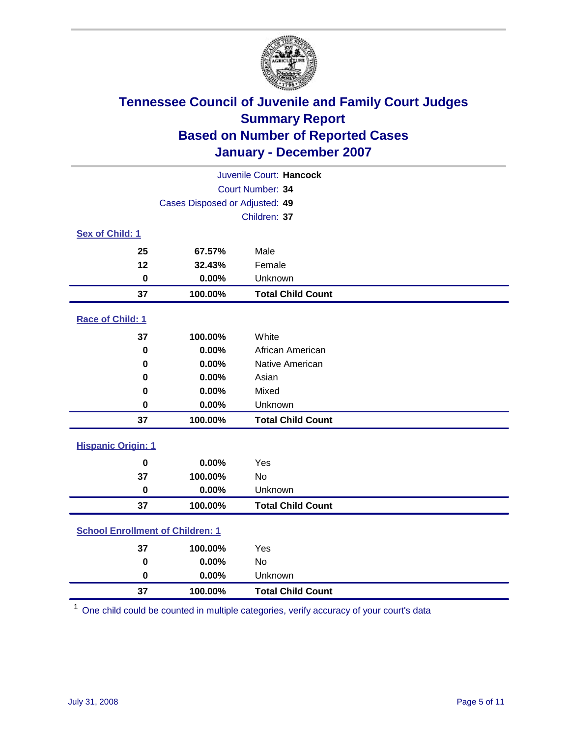

| Juvenile Court: Hancock                 |                                |                          |  |
|-----------------------------------------|--------------------------------|--------------------------|--|
| Court Number: 34                        |                                |                          |  |
|                                         | Cases Disposed or Adjusted: 49 |                          |  |
|                                         |                                | Children: 37             |  |
| Sex of Child: 1                         |                                |                          |  |
| 25                                      | 67.57%                         | Male                     |  |
| 12                                      | 32.43%                         | Female                   |  |
| $\bf{0}$                                | 0.00%                          | Unknown                  |  |
| 37                                      | 100.00%                        | <b>Total Child Count</b> |  |
| Race of Child: 1                        |                                |                          |  |
| 37                                      | 100.00%                        | White                    |  |
| $\bf{0}$                                | 0.00%                          | African American         |  |
| 0                                       | 0.00%                          | Native American          |  |
| 0                                       | 0.00%                          | Asian                    |  |
| 0                                       | 0.00%                          | Mixed                    |  |
| $\mathbf 0$                             | 0.00%                          | Unknown                  |  |
| 37                                      | 100.00%                        | <b>Total Child Count</b> |  |
| <b>Hispanic Origin: 1</b>               |                                |                          |  |
| $\bf{0}$                                | 0.00%                          | Yes                      |  |
| 37                                      | 100.00%                        | <b>No</b>                |  |
| $\mathbf 0$                             | 0.00%                          | Unknown                  |  |
| 37                                      | 100.00%                        | <b>Total Child Count</b> |  |
| <b>School Enrollment of Children: 1</b> |                                |                          |  |
| 37                                      | 100.00%                        | Yes                      |  |
| $\bf{0}$                                | 0.00%                          | No                       |  |
| $\mathbf 0$                             | 0.00%                          | Unknown                  |  |
| 37                                      | 100.00%                        | <b>Total Child Count</b> |  |

One child could be counted in multiple categories, verify accuracy of your court's data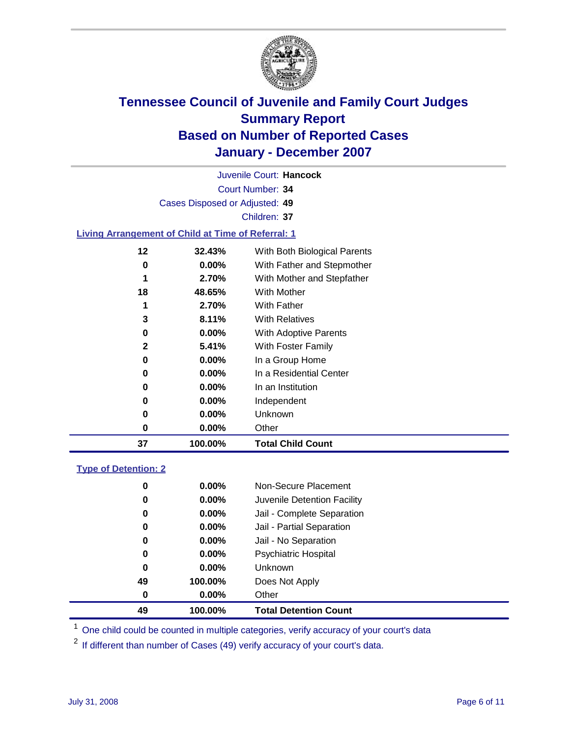

Court Number: **34** Juvenile Court: **Hancock** Cases Disposed or Adjusted: **49** Children: **37 Living Arrangement of Child at Time of Referral: 1 32.43%** With Both Biological Parents **0.00%** With Father and Stepmother **2.70%** With Mother and Stepfather **48.65%** With Mother **2.70%** With Father **8.11%** With Relatives

| With Adoptive Parents<br>$0.00\%$ |
|-----------------------------------|
|-----------------------------------|

| 5.41%    | With Foster Family |  |
|----------|--------------------|--|
| $0.00\%$ | In a Group Home    |  |

| $0.00\%$ | In a Residential Center |
|----------|-------------------------|

**100.00% Total Child Count**

| 0 | $0.00\%$ | In an Institution |
|---|----------|-------------------|
| 0 | $0.00\%$ | Independent       |
| 0 | $0.00\%$ | Unknown           |

**0.00%** Other

### **Type of Detention: 2**

| 49 | 100.00%  | <b>Total Detention Count</b> |
|----|----------|------------------------------|
| 0  | $0.00\%$ | Other                        |
| 49 | 100.00%  | Does Not Apply               |
| 0  | $0.00\%$ | <b>Unknown</b>               |
| 0  | 0.00%    | <b>Psychiatric Hospital</b>  |
| 0  | 0.00%    | Jail - No Separation         |
| 0  | $0.00\%$ | Jail - Partial Separation    |
| 0  | 0.00%    | Jail - Complete Separation   |
| 0  | 0.00%    | Juvenile Detention Facility  |
| 0  | $0.00\%$ | Non-Secure Placement         |
|    |          |                              |

<sup>1</sup> One child could be counted in multiple categories, verify accuracy of your court's data

<sup>2</sup> If different than number of Cases (49) verify accuracy of your court's data.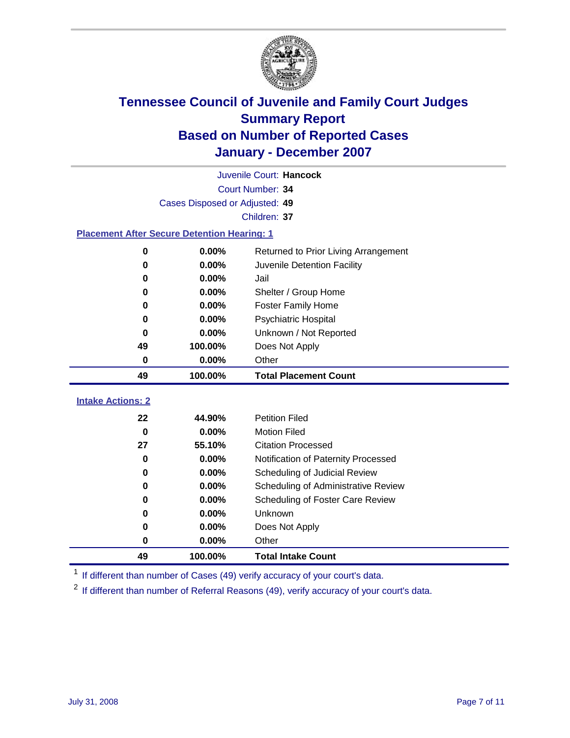

|                                                    |                                | Juvenile Court: Hancock              |
|----------------------------------------------------|--------------------------------|--------------------------------------|
|                                                    |                                | Court Number: 34                     |
|                                                    | Cases Disposed or Adjusted: 49 |                                      |
|                                                    |                                | Children: 37                         |
| <b>Placement After Secure Detention Hearing: 1</b> |                                |                                      |
| 0                                                  | 0.00%                          | Returned to Prior Living Arrangement |
| 0                                                  | 0.00%                          | Juvenile Detention Facility          |
| 0                                                  | 0.00%                          | Jail                                 |
| 0                                                  | 0.00%                          | Shelter / Group Home                 |
| 0                                                  | 0.00%                          | <b>Foster Family Home</b>            |
| 0                                                  | 0.00%                          | <b>Psychiatric Hospital</b>          |
| 0                                                  | 0.00%                          | Unknown / Not Reported               |
| 49                                                 | 100.00%                        | Does Not Apply                       |
| 0                                                  | 0.00%                          | Other                                |
| 49                                                 | 100.00%                        | <b>Total Placement Count</b>         |
|                                                    |                                |                                      |
| <b>Intake Actions: 2</b>                           |                                |                                      |
| 22                                                 | 44.90%                         | <b>Petition Filed</b>                |
| $\bf{0}$                                           | 0.00%                          | <b>Motion Filed</b>                  |
| 27                                                 | 55.10%                         | <b>Citation Processed</b>            |
| 0                                                  | 0.00%                          | Notification of Paternity Processed  |
| 0                                                  | 0.00%                          | Scheduling of Judicial Review        |
| 0                                                  | 0.00%                          | Scheduling of Administrative Review  |
| 0                                                  | 0.00%                          | Scheduling of Foster Care Review     |
| 0                                                  | 0.00%                          | Unknown                              |
| 0                                                  | 0.00%                          | Does Not Apply                       |
| 0                                                  | 0.00%                          | Other                                |
| 49                                                 | 100.00%                        | <b>Total Intake Count</b>            |

<sup>1</sup> If different than number of Cases (49) verify accuracy of your court's data.

<sup>2</sup> If different than number of Referral Reasons (49), verify accuracy of your court's data.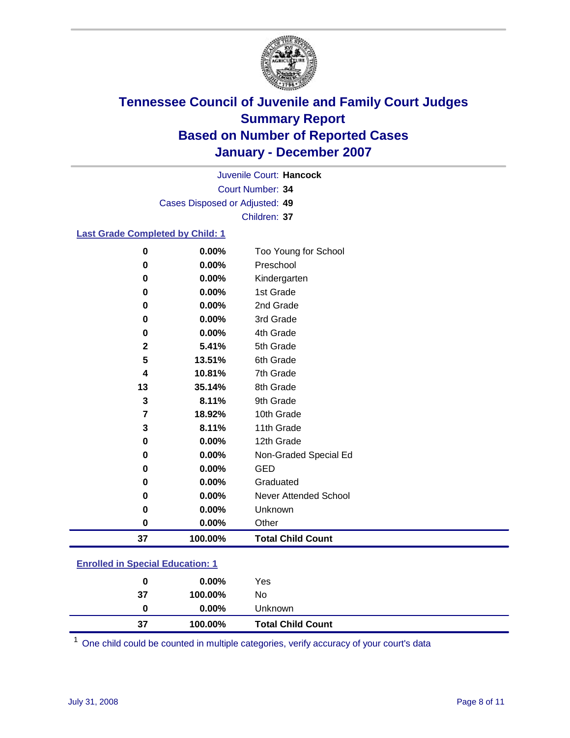

Court Number: **34** Juvenile Court: **Hancock** Cases Disposed or Adjusted: **49** Children: **37**

### **Last Grade Completed by Child: 1**

| 0            | 0.00%   | Too Young for School     |
|--------------|---------|--------------------------|
| 0            | 0.00%   | Preschool                |
| 0            | 0.00%   | Kindergarten             |
| 0            | 0.00%   | 1st Grade                |
| 0            | 0.00%   | 2nd Grade                |
| 0            | 0.00%   | 3rd Grade                |
| 0            | 0.00%   | 4th Grade                |
| $\mathbf{2}$ | 5.41%   | 5th Grade                |
| 5            | 13.51%  | 6th Grade                |
| 4            | 10.81%  | 7th Grade                |
| 13           | 35.14%  | 8th Grade                |
| 3            | 8.11%   | 9th Grade                |
| 7            | 18.92%  | 10th Grade               |
| 3            | 8.11%   | 11th Grade               |
| 0            | 0.00%   | 12th Grade               |
| 0            | 0.00%   | Non-Graded Special Ed    |
| 0            | 0.00%   | <b>GED</b>               |
| 0            | 0.00%   | Graduated                |
| 0            | 0.00%   | Never Attended School    |
| 0            | 0.00%   | Unknown                  |
| $\bf{0}$     | 0.00%   | Other                    |
| 37           | 100.00% | <b>Total Child Count</b> |

### **Enrolled in Special Education: 1**

| 0  | $0.00\%$ | Yes                      |
|----|----------|--------------------------|
| 37 | 100.00%  | No                       |
| 0  | $0.00\%$ | Unknown                  |
| 37 | 100.00%  | <b>Total Child Count</b> |

One child could be counted in multiple categories, verify accuracy of your court's data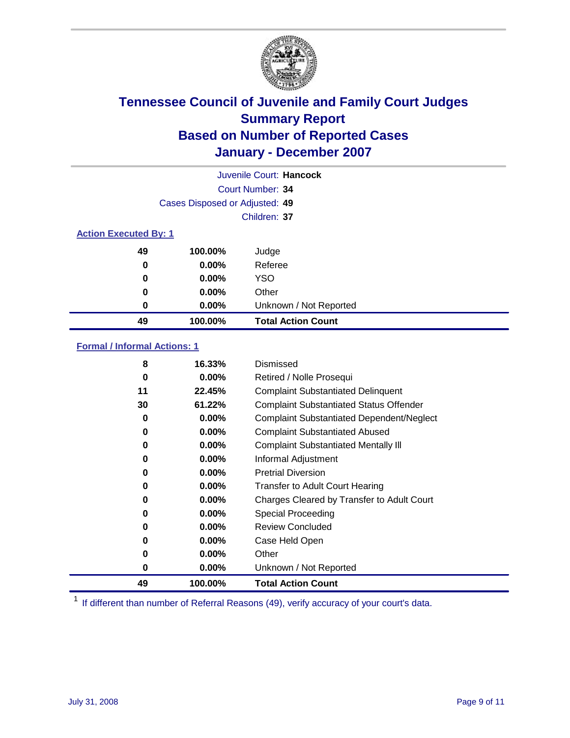

|                              |                                | Juvenile Court: Hancock   |
|------------------------------|--------------------------------|---------------------------|
|                              |                                | Court Number: 34          |
|                              | Cases Disposed or Adjusted: 49 |                           |
|                              |                                | Children: 37              |
| <b>Action Executed By: 1</b> |                                |                           |
| 49                           | 100.00%                        | Judge                     |
| 0                            | $0.00\%$                       | Referee                   |
| 0                            | $0.00\%$                       | <b>YSO</b>                |
| 0                            | $0.00\%$                       | Other                     |
| 0                            | $0.00\%$                       | Unknown / Not Reported    |
| 49                           | 100.00%                        | <b>Total Action Count</b> |

### **Formal / Informal Actions: 1**

| 8  | 16.33%   | Dismissed                                        |
|----|----------|--------------------------------------------------|
| 0  | $0.00\%$ | Retired / Nolle Prosequi                         |
| 11 | 22.45%   | <b>Complaint Substantiated Delinquent</b>        |
| 30 | 61.22%   | <b>Complaint Substantiated Status Offender</b>   |
| 0  | 0.00%    | <b>Complaint Substantiated Dependent/Neglect</b> |
| 0  | $0.00\%$ | <b>Complaint Substantiated Abused</b>            |
| 0  | $0.00\%$ | <b>Complaint Substantiated Mentally III</b>      |
| 0  | $0.00\%$ | Informal Adjustment                              |
| 0  | $0.00\%$ | <b>Pretrial Diversion</b>                        |
| 0  | $0.00\%$ | <b>Transfer to Adult Court Hearing</b>           |
| 0  | $0.00\%$ | Charges Cleared by Transfer to Adult Court       |
| 0  | $0.00\%$ | Special Proceeding                               |
| 0  | $0.00\%$ | <b>Review Concluded</b>                          |
| 0  | $0.00\%$ | Case Held Open                                   |
| 0  | $0.00\%$ | Other                                            |
| 0  | $0.00\%$ | Unknown / Not Reported                           |
| 49 | 100.00%  | <b>Total Action Count</b>                        |

<sup>1</sup> If different than number of Referral Reasons (49), verify accuracy of your court's data.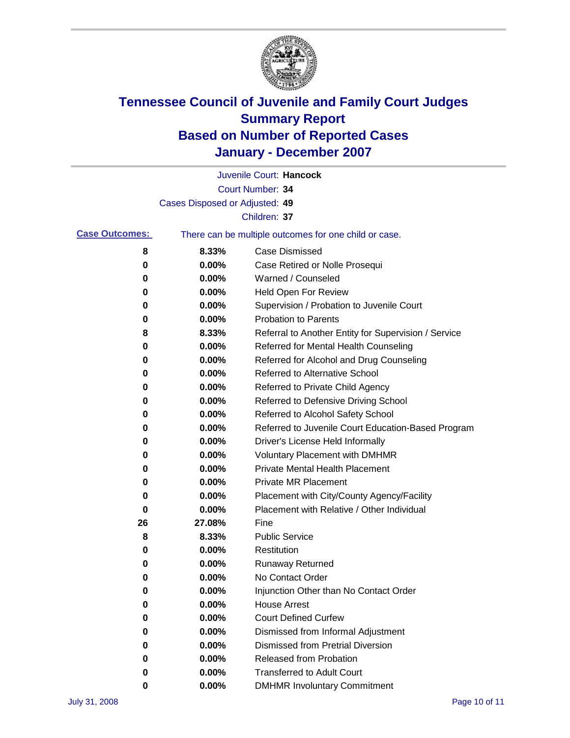

|                       |                                | Juvenile Court: Hancock                               |
|-----------------------|--------------------------------|-------------------------------------------------------|
|                       |                                | Court Number: 34                                      |
|                       | Cases Disposed or Adjusted: 49 |                                                       |
|                       |                                | Children: 37                                          |
| <b>Case Outcomes:</b> |                                | There can be multiple outcomes for one child or case. |
| 8                     | 8.33%                          | Case Dismissed                                        |
| 0                     | 0.00%                          | Case Retired or Nolle Prosequi                        |
| 0                     | 0.00%                          | Warned / Counseled                                    |
| 0                     | 0.00%                          | <b>Held Open For Review</b>                           |
| 0                     | 0.00%                          | Supervision / Probation to Juvenile Court             |
| 0                     | 0.00%                          | <b>Probation to Parents</b>                           |
| 8                     | 8.33%                          | Referral to Another Entity for Supervision / Service  |
| 0                     | 0.00%                          | Referred for Mental Health Counseling                 |
| 0                     | 0.00%                          | Referred for Alcohol and Drug Counseling              |
| 0                     | 0.00%                          | Referred to Alternative School                        |
| 0                     | 0.00%                          | Referred to Private Child Agency                      |
| 0                     | 0.00%                          | Referred to Defensive Driving School                  |
| 0                     | 0.00%                          | Referred to Alcohol Safety School                     |
| 0                     | 0.00%                          | Referred to Juvenile Court Education-Based Program    |
| 0                     | 0.00%                          | Driver's License Held Informally                      |
| 0                     | 0.00%                          | <b>Voluntary Placement with DMHMR</b>                 |
| 0                     | 0.00%                          | Private Mental Health Placement                       |
| 0                     | 0.00%                          | <b>Private MR Placement</b>                           |
| 0                     | 0.00%                          | Placement with City/County Agency/Facility            |
| 0                     | 0.00%                          | Placement with Relative / Other Individual            |
| 26                    | 27.08%                         | Fine                                                  |
| 8                     | 8.33%                          | <b>Public Service</b>                                 |
| 0                     | 0.00%                          | Restitution                                           |
| 0                     | 0.00%                          | <b>Runaway Returned</b>                               |
| 0                     | 0.00%                          | No Contact Order                                      |
| 0                     | 0.00%                          | Injunction Other than No Contact Order                |
| 0                     | 0.00%                          | <b>House Arrest</b>                                   |
| 0                     | 0.00%                          | <b>Court Defined Curfew</b>                           |
| 0                     | 0.00%                          | Dismissed from Informal Adjustment                    |
| 0                     | 0.00%                          | <b>Dismissed from Pretrial Diversion</b>              |
| 0                     | 0.00%                          | Released from Probation                               |
| 0                     | 0.00%                          | <b>Transferred to Adult Court</b>                     |
| 0                     | 0.00%                          | <b>DMHMR Involuntary Commitment</b>                   |